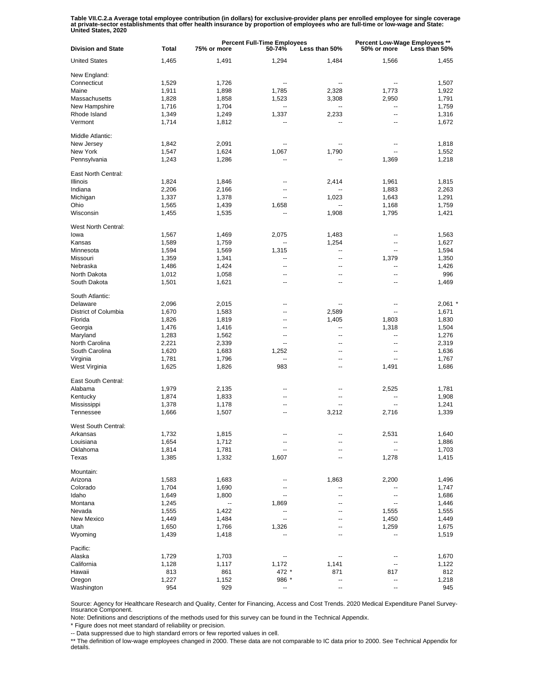Table VII.C.2.a Average total employee contribution (in dollars) for exclusive-provider plans per enrolled employee for single coverage<br>at private-sector establishments that offer health insurance by proportion of employee

| <b>Division and State</b>  | <b>Total</b> | <b>Percent Full-Time Employees</b><br>50-74%<br>75% or more<br>Less than 50% |                          |                          | <b>Percent Low-Wage Employees **</b><br>50% or more<br>Less than 50% |           |
|----------------------------|--------------|------------------------------------------------------------------------------|--------------------------|--------------------------|----------------------------------------------------------------------|-----------|
| <b>United States</b>       | 1,465        | 1,491                                                                        | 1,294                    | 1,484                    | 1,566                                                                | 1,455     |
| New England:               |              |                                                                              |                          |                          |                                                                      |           |
| Connecticut                | 1,529        | 1,726                                                                        | ц.                       |                          |                                                                      | 1,507     |
| Maine                      | 1,911        | 1,898                                                                        | 1,785                    | 2,328                    | 1,773                                                                | 1,922     |
| Massachusetts              | 1,828        | 1,858                                                                        | 1,523                    | 3,308                    | 2,950                                                                | 1,791     |
|                            |              |                                                                              |                          |                          |                                                                      |           |
| New Hampshire              | 1,716        | 1,704                                                                        |                          |                          |                                                                      | 1,759     |
| Rhode Island               | 1,349        | 1,249                                                                        | 1,337                    | 2,233                    | --                                                                   | 1,316     |
| Vermont                    | 1,714        | 1,812                                                                        |                          |                          |                                                                      | 1,672     |
| Middle Atlantic:           |              |                                                                              |                          |                          |                                                                      |           |
| New Jersey                 | 1,842        | 2,091                                                                        | --                       |                          | --                                                                   | 1,818     |
| New York                   | 1,547        | 1,624                                                                        | 1,067                    | 1,790                    | --                                                                   | 1,552     |
| Pennsylvania               | 1,243        | 1,286                                                                        | ц.                       | --                       | 1,369                                                                | 1,218     |
| East North Central:        |              |                                                                              |                          |                          |                                                                      |           |
| Illinois                   | 1,824        | 1,846                                                                        | $\overline{a}$           | 2,414                    |                                                                      | 1,815     |
|                            |              |                                                                              |                          |                          | 1,961                                                                |           |
| Indiana                    | 2,206        | 2,166                                                                        | $\overline{a}$           |                          | 1,883                                                                | 2,263     |
| Michigan                   | 1,337        | 1,378                                                                        | μ.                       | 1,023                    | 1,643                                                                | 1,291     |
| Ohio                       | 1,565        | 1,439                                                                        | 1,658                    |                          | 1,168                                                                | 1,759     |
| Wisconsin                  | 1,455        | 1,535                                                                        |                          | 1,908                    | 1,795                                                                | 1,421     |
| West North Central:        |              |                                                                              |                          |                          |                                                                      |           |
| lowa                       | 1,567        | 1,469                                                                        | 2,075                    | 1,483                    |                                                                      | 1,563     |
|                            |              |                                                                              |                          |                          |                                                                      |           |
| Kansas                     | 1,589        | 1,759                                                                        |                          | 1,254                    | --                                                                   | 1,627     |
| Minnesota                  | 1,594        | 1,569                                                                        | 1,315                    | --                       | $\overline{a}$                                                       | 1,594     |
| Missouri                   | 1,359        | 1,341                                                                        | --                       | --                       | 1,379                                                                | 1,350     |
| Nebraska                   | 1,486        | 1,424                                                                        | ц,                       | --                       |                                                                      | 1,426     |
| North Dakota               | 1,012        | 1,058                                                                        | $\overline{a}$           | --                       | $\overline{a}$                                                       | 996       |
| South Dakota               |              |                                                                              | ц,                       | --                       |                                                                      |           |
|                            | 1,501        | 1,621                                                                        |                          |                          |                                                                      | 1,469     |
| South Atlantic:            |              |                                                                              |                          |                          |                                                                      |           |
| Delaware                   | 2,096        | 2,015                                                                        | --                       | --                       | --                                                                   | $2,061$ * |
| District of Columbia       | 1,670        | 1,583                                                                        | --                       | 2,589                    | --                                                                   | 1,671     |
| Florida                    | 1,826        | 1,819                                                                        | --                       | 1,405                    | 1,803                                                                | 1,830     |
|                            |              |                                                                              |                          |                          |                                                                      |           |
| Georgia                    | 1,476        | 1,416                                                                        | --                       | --                       | 1,318                                                                | 1,504     |
| Maryland                   | 1,283        | 1,562                                                                        | --                       | --                       | $\overline{\phantom{a}}$                                             | 1,276     |
| North Carolina             | 2,221        | 2,339                                                                        | $\overline{\phantom{a}}$ | $\overline{\phantom{a}}$ | $\overline{\phantom{a}}$                                             | 2,319     |
| South Carolina             | 1,620        | 1,683                                                                        | 1,252                    | --                       | $\overline{\phantom{a}}$                                             | 1,636     |
| Virginia                   | 1,781        | 1,796                                                                        | --                       | $\overline{\phantom{a}}$ | --                                                                   | 1,767     |
| West Virginia              | 1,625        | 1,826                                                                        | 983                      | --                       | 1,491                                                                | 1,686     |
|                            |              |                                                                              |                          |                          |                                                                      |           |
| East South Central:        |              |                                                                              |                          |                          |                                                                      |           |
| Alabama                    | 1,979        | 2,135                                                                        | --                       |                          | 2,525                                                                | 1,781     |
| Kentucky                   | 1,874        | 1,833                                                                        | $\overline{a}$           | --                       |                                                                      | 1,908     |
| Mississippi                | 1,378        | 1,178                                                                        | $\overline{a}$           |                          | $\overline{a}$                                                       | 1,241     |
| Tennessee                  | 1,666        | 1,507                                                                        | ц,                       | 3,212                    | 2,716                                                                | 1,339     |
| <b>West South Central:</b> |              |                                                                              |                          |                          |                                                                      |           |
|                            |              |                                                                              |                          |                          |                                                                      |           |
| Arkansas                   | 1,732        | 1,815                                                                        | ц.                       |                          | 2,531                                                                | 1,640     |
| Louisiana                  | 1,654        | 1,712                                                                        | --                       |                          |                                                                      | 1,886     |
| Oklahoma                   | 1,814        | 1,781                                                                        | ٠.                       |                          |                                                                      | 1,703     |
| Texas                      | 1,385        | 1,332                                                                        | 1,607                    |                          | 1,278                                                                | 1,415     |
| Mountain:                  |              |                                                                              |                          |                          |                                                                      |           |
| Arizona                    | 1,583        | 1,683                                                                        | --                       | 1,863                    | 2,200                                                                | 1,496     |
|                            |              |                                                                              |                          |                          |                                                                      |           |
| Colorado                   | 1,704        | 1,690                                                                        |                          | ⊷                        |                                                                      | 1,747     |
| Idaho                      | 1,649        | 1,800                                                                        | --                       | --                       | --                                                                   | 1,686     |
| Montana                    | 1,245        | --                                                                           | 1,869                    | --                       | --                                                                   | 1,446     |
| Nevada                     | 1,555        | 1,422                                                                        |                          | --                       | 1,555                                                                | 1,555     |
| New Mexico                 | 1,449        | 1,484                                                                        | --                       | --                       | 1,450                                                                | 1,449     |
|                            |              |                                                                              |                          |                          |                                                                      |           |
| Utah                       | 1,650        | 1,766                                                                        | 1,326                    | --                       | 1,259                                                                | 1,675     |
| Wyoming                    | 1,439        | 1,418                                                                        | --                       | --                       | $\overline{a}$                                                       | 1,519     |
| Pacific:                   |              |                                                                              |                          |                          |                                                                      |           |
| Alaska                     | 1,729        | 1,703                                                                        | --                       |                          |                                                                      | 1,670     |
| California                 | 1,128        | 1,117                                                                        | 1,172                    | 1,141                    |                                                                      | 1,122     |
| Hawaii                     | 813          | 861                                                                          | 472 *                    | 871                      | 817                                                                  | 812       |
|                            |              |                                                                              |                          |                          |                                                                      |           |
| Oregon                     | 1,227        | 1,152                                                                        | 986 *                    | --                       | ۰.                                                                   | 1,218     |
| Washington                 | 954          | 929                                                                          | --                       |                          |                                                                      | 945       |

Source: Agency for Healthcare Research and Quality, Center for Financing, Access and Cost Trends. 2020 Medical Expenditure Panel Survey-Insurance Component.

Note: Definitions and descriptions of the methods used for this survey can be found in the Technical Appendix.

\* Figure does not meet standard of reliability or precision.

-- Data suppressed due to high standard errors or few reported values in cell.

\*\* The definition of low-wage employees changed in 2000. These data are not comparable to IC data prior to 2000. See Technical Appendix for details.